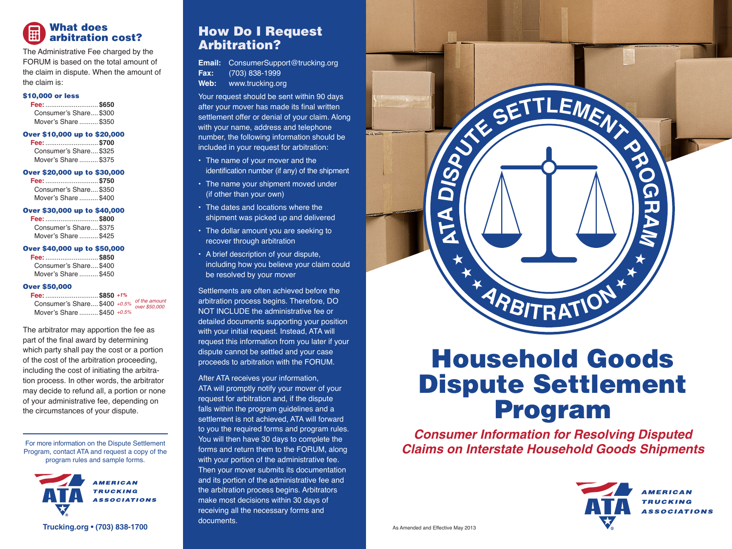

The Administrative Fee charged by the FORUM is based on the total amount of the claim in dispute. When the amount of the claim is:

#### \$10,000 or less

**Fee:**............................**\$650** Consumer's Share....\$300 Mover's Share ..........\$350

### Over \$10,000 up to \$20,000

**Fee:**............................**\$700** Consumer's Share.... \$325 Mover's Share ..........\$375

### Over \$20,000 up to \$30,000

**Fee:**............................**\$750** Consumer's Share.... \$350. Mover's Share ..........\$400

### Over \$30,000 up to \$40,000

| Fee:  \$800            |  |
|------------------------|--|
| Consumer's Share \$375 |  |
| Mover's Share  \$425   |  |

### Over \$40,000 up to \$50,000

**Fee:**............................**\$850** Consumer's Share.... \$400 Mover's Share ..........\$450

### Over \$50,000

| Fee:  \$850 +1%                            |  |  |
|--------------------------------------------|--|--|
| Consumer's Share \$400 +0.5% of the amount |  |  |
| Mover's Share  \$450 +0.5%                 |  |  |

The arbitrator may apportion the fee as part of the final award by determining which party shall pay the cost or a portion of the cost of the arbitration proceeding, including the cost of initiating the arbitration process. In other words, the arbitrator may decide to refund all, a portion or none of your administrative fee, depending on the circumstances of your dispute.

For more information on the Dispute Settlement Program, contact ATA and request a copy of the program rules and sample forms.



# How Do I Request Arbitration?

**Email:** ConsumerSupport@trucking.org **Fax:** (703) 838-1999 **Web:** www.trucking.org

Your request should be sent within 90 days after your mover has made its final written settlement offer or denial of your claim. Along with your name, address and telephone number, the following information should be included in your request for arbitration:

- The name of your mover and the identification number (if any) of the shipment
- The name your shipment moved under (if other than your own)
- The dates and locations where the shipment was picked up and delivered
- The dollar amount you are seeking to recover through arbitration
- A brief description of your dispute, including how you believe your claim could be resolved by your mover

Settlements are often achieved before the arbitration process begins. Therefore, DO NOT INCLUDE the administrative fee or detailed documents supporting your position with your initial request. Instead, ATA will request this information from you later if your dispute cannot be settled and your case proceeds to arbitration with the FORUM.

After ATA receives your information, ATA will promptly notify your mover of your request for arbitration and, if the dispute falls within the program guidelines and a settlement is not achieved, ATA will forward to you the required forms and program rules. You will then have 30 days to complete the forms and return them to the FORUM, along with your portion of the administrative fee. Then your mover submits its documentation and its portion of the administrative fee and the arbitration process begins. Arbitrators make most decisions within 30 days of receiving all the necessary forms and documents.



# Household Goods Dispute Settlement Program

*Consumer Information for Resolving Disputed Claims on Interstate Household Goods Shipments*



As Amended and Effective May 2013